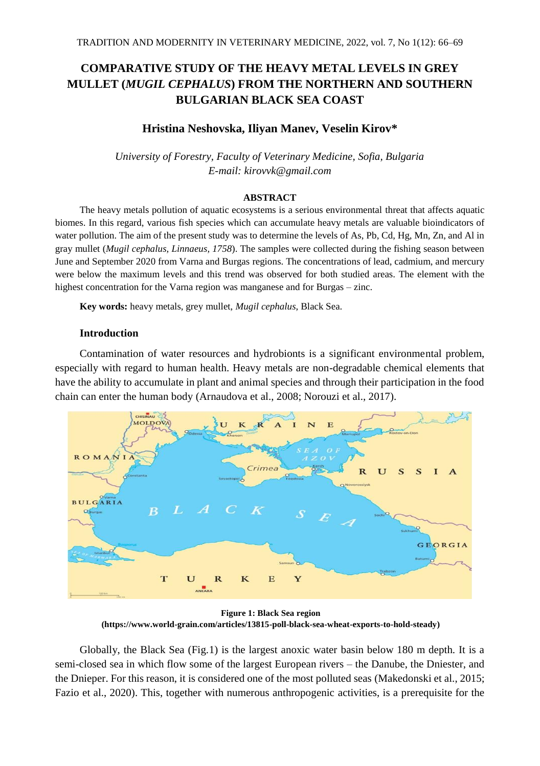# **COMPARATIVE STUDY OF THE HEAVY METAL LEVELS IN GREY MULLET (***MUGIL CEPHALUS***) FROM THE NORTHERN AND SOUTHERN BULGARIAN BLACK SEA COAST**

# **Hristina Neshovska, Iliyan Manev, Veselin Kirov\***

*University of Forestry, Faculty of Veterinary Medicine, Sofia, Bulgaria E-mail: kirovvk@gmail.com*

#### **ABSTRACT**

The heavy metals pollution of aquatic ecosystems is a serious environmental threat that affects aquatic biomes. In this regard, various fish species which can accumulate heavy metals are valuable bioindicators of water pollution. The aim of the present study was to determine the levels of As, Pb, Cd, Hg, Mn, Zn, and Al in gray mullet (*Mugil cephalus, Linnaeus, 1758*). The samples were collected during the fishing season between June and September 2020 from Varna and Burgas regions. The concentrations of lead, cadmium, and mercury were below the maximum levels and this trend was observed for both studied areas. The element with the highest concentration for the Varna region was manganese and for Burgas – zinc.

**Key words:** heavy metals, grey mullet, *Mugil cephalus*, Black Sea.

## **Introduction**

Contamination of water resources and hydrobionts is a significant environmental problem, especially with regard to human health. Heavy metals are non-degradable chemical elements that have the ability to accumulate in plant and animal species and through their participation in the food chain can enter the human body (Arnaudova et al., 2008; Norouzi et al., 2017).



**Figure 1: Black Sea region (https://www.world-grain.com/articles/13815-poll-black-sea-wheat-exports-to-hold-steady)**

Globally, the Black Sea (Fig.1) is the largest anoxic water basin below 180 m depth. It is a semi-closed sea in which flow some of the largest European rivers – the Danube, the Dniester, and the Dnieper. For this reason, it is considered one of the most polluted seas (Makedonski et al., 2015; Fazio et al., 2020). This, together with numerous anthropogenic activities, is a prerequisite for the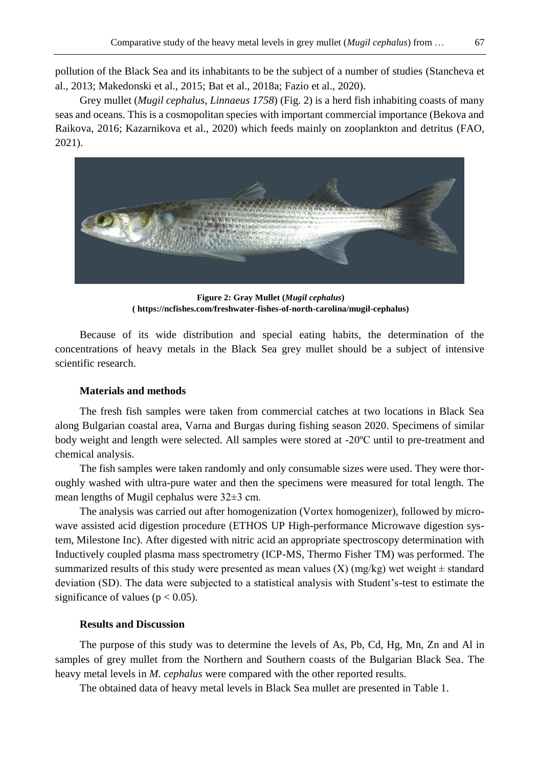pollution of the Black Sea and its inhabitants to be the subject of a number of studies (Stancheva et al., 2013; Makedonski et al., 2015; Bat et al., 2018a; Fazio et al., 2020).

Grey mullet (*Mugil cephalus, Linnaeus 1758*) (Fig. 2) is a herd fish inhabiting coasts of many seas and oceans. This is a cosmopolitan species with important commercial importance (Bekova and Raikova, 2016; Kazarnikova et al., 2020) which feeds mainly on zooplankton and detritus (FAO, 2021).



**Figure 2: Gray Mullet (***Mugil cephalus***) ( https://ncfishes.com/freshwater-fishes-of-north-carolina/mugil-cephalus)**

Because of its wide distribution and special eating habits, the determination of the concentrations of heavy metals in the Black Sea grey mullet should be a subject of intensive scientific research.

## **Materials and methods**

The fresh fish samples were taken from commercial catches at two locations in Black Sea along Bulgarian coastal area, Varna and Burgas during fishing season 2020. Specimens of similar body weight and length were selected. All samples were stored at -20ºC until to pre-treatment and chemical analysis.

The fish samples were taken randomly and only consumable sizes were used. They were thoroughly washed with ultra-pure water and then the specimens were measured for total length. The mean lengths of Mugil cephalus were 32±3 cm.

The analysis was carried out after homogenization (Vortex homogenizer), followed by microwave assisted acid digestion procedure (ETHOS UP High-performance Microwave digestion system, Milestone Inc). After digested with nitric acid an appropriate spectroscopy determination with Inductively coupled plasma mass spectrometry (ICP-MS, Thermo Fisher TM) was performed. The summarized results of this study were presented as mean values  $(X)$  (mg/kg) wet weight  $\pm$  standard deviation (SD). The data were subjected to a statistical analysis with Student's-test to estimate the significance of values ( $p < 0.05$ ).

#### **Results and Discussion**

The purpose of this study was to determine the levels of As, Pb, Cd, Hg, Mn, Zn and Al in samples of grey mullet from the Northern and Southern coasts of the Bulgarian Black Sea. The heavy metal levels in *M. cephalus* were compared with the other reported results.

The obtained data of heavy metal levels in Black Sea mullet are presented in Table 1.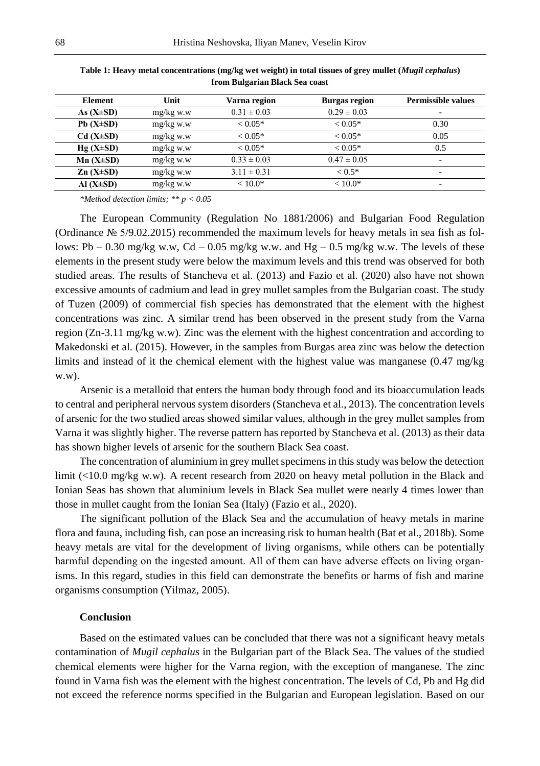| <b>Element</b>  | Unit        | Varna region    | <b>Burgas region</b> | <b>Permissible values</b> |
|-----------------|-------------|-----------------|----------------------|---------------------------|
| As $(X\pm SD)$  | $mg/kg$ w.w | $0.31 \pm 0.03$ | $0.29 \pm 0.03$      | ۰                         |
| $Pb(X\pm SD)$   | $mg/kg$ w.w | $< 0.05*$       | $< 0.05*$            | 0.30                      |
| $Cd(X\pm SD)$   | $mg/kg$ w.w | $< 0.05*$       | $<$ 0.05 $*$         | 0.05                      |
| $Hg(X\pm SD)$   | $mg/kg$ w.w | $< 0.05*$       | $<$ 0.05 $*$         | 0.5                       |
| $Mn (X \pm SD)$ | $mg/kg$ w.w | $0.33 \pm 0.03$ | $0.47 \pm 0.05$      | ۰                         |
| $Zn(X\pm SD)$   | $mg/kg$ w.w | $3.11 \pm 0.31$ | $< 0.5*$             | ۰                         |
| Al $(X\pm SD)$  | $mg/kg$ w.w | $< 10.0*$       | $< 10.0*$            | ۰                         |

**Table 1: Heavy metal concentrations (mg/kg wet weight) in total tissues of grey mullet (***Mugil cephalus***) from Bulgarian Black Sea coast** 

*\*Method detection limits; \*\* p < 0.05*

The European Community (Regulation No 1881/2006) and Bulgarian Food Regulation (Ordinance № 5/9.02.2015) recommended the maximum levels for heavy metals in sea fish as follows: Pb – 0.30 mg/kg w.w, Cd – 0.05 mg/kg w.w. and Hg – 0.5 mg/kg w.w. The levels of these elements in the present study were below the maximum levels and this trend was observed for both studied areas. The results of Stancheva et al. (2013) and Fazio et al. (2020) also have not shown excessive amounts of cadmium and lead in grey mullet samples from the Bulgarian coast. The study of Tuzen (2009) of commercial fish species has demonstrated that the element with the highest concentrations was zinc. A similar trend has been observed in the present study from the Varna region (Zn-3.11 mg/kg w.w). Zinc was the element with the highest concentration and according to Makedonski et al. (2015). However, in the samples from Burgas area zinc was below the detection limits and instead of it the chemical element with the highest value was manganese (0.47 mg/kg w.w).

Arsenic is a metalloid that enters the human body through food and its bioaccumulation leads to central and peripheral nervous system disorders (Stancheva et al., 2013). The concentration levels of arsenic for the two studied areas showed similar values, although in the grey mullet samples from Varna it was slightly higher. The reverse pattern has reported by Stancheva et al. (2013) as their data has shown higher levels of arsenic for the southern Black Sea coast.

The concentration of aluminium in grey mullet specimens in this study was below the detection limit (<10.0 mg/kg w.w). A recent research from 2020 on heavy metal pollution in the Black and Ionian Seas has shown that aluminium levels in Black Sea mullet were nearly 4 times lower than those in mullet caught from the Ionian Sea (Italy) (Fazio et al., 2020).

The significant pollution of the Black Sea and the accumulation of heavy metals in marine flora and fauna, including fish, can pose an increasing risk to human health (Bat et al., 2018b). Some heavy metals are vital for the development of living organisms, while others can be potentially harmful depending on the ingested amount. All of them can have adverse effects on living organisms. In this regard, studies in this field can demonstrate the benefits or harms of fish and marine organisms consumption (Yilmaz, 2005).

## **Conclusion**

Based on the estimated values can be concluded that there was not a significant heavy metals contamination of *Mugil cephalus* in the Bulgarian part of the Black Sea. The values of the studied chemical elements were higher for the Varna region, with the exception of manganese. The zinc found in Varna fish was the element with the highest concentration. The levels of Cd, Pb and Hg did not exceed the reference norms specified in the Bulgarian and European legislation. Based on our